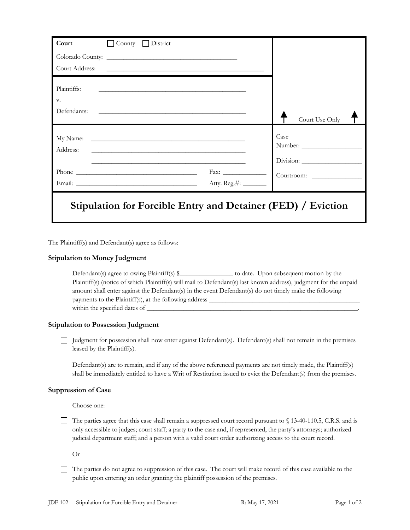| Court          | County   District                                                      |                       |                |
|----------------|------------------------------------------------------------------------|-----------------------|----------------|
|                | Colorado County:                                                       |                       |                |
| Court Address: |                                                                        |                       |                |
| Plaintiffs:    | <u> 1980 - Jan Samuel Barbara, margaret eta biztanleria (h. 1980).</u> |                       |                |
| V.             |                                                                        |                       |                |
| Defendants:    |                                                                        |                       | Court Use Only |
| Address:       | <u> 1989 - Jan James James, martin de ferror (f. 1989)</u>             |                       | Case           |
|                |                                                                        |                       |                |
|                |                                                                        |                       | Courtroom:     |
|                |                                                                        | Atty. Reg.#: ________ |                |
|                | Stipulation for Forcible Entry and Detainer (FED) / Eviction           |                       |                |

The Plaintiff(s) and Defendant(s) agree as follows:

## **Stipulation to Money Judgment**

Defendant(s) agree to owing Plaintiff(s)  $\$  to date. Upon subsequent motion by the Plaintiff(s) (notice of which Plaintiff(s) will mail to Defendant(s) last known address), judgment for the unpaid amount shall enter against the Defendant(s) in the event Defendant(s) do not timely make the following payments to the Plaintiff(s), at the following address \_\_\_\_\_\_\_\_\_\_\_\_\_\_\_\_\_\_\_\_\_\_\_\_\_\_\_\_\_\_\_\_\_\_\_\_\_\_\_\_\_\_\_\_\_ within the specified dates of \_\_\_\_\_\_\_\_\_\_\_\_\_\_\_\_\_\_\_\_\_\_\_\_\_\_\_\_\_\_\_\_\_\_\_\_\_\_\_\_\_\_\_\_\_\_\_\_\_\_\_\_\_\_\_\_\_\_\_\_\_\_\_.

## **Stipulation to Possession Judgment**

Judgment for possession shall now enter against Defendant(s). Defendant(s) shall not remain in the premises leased by the Plaintiff(s).

 $\Box$  Defendant(s) are to remain, and if any of the above referenced payments are not timely made, the Plaintiff(s) shall be immediately entitled to have a Writ of Restitution issued to evict the Defendant(s) from the premises.

## **Suppression of Case**

Choose one:

The parties agree that this case shall remain a suppressed court record pursuant to  $\sqrt{3}$  13-40-110.5, C.R.S. and is only accessible to judges; court staff; a party to the case and, if represented, the party's attorneys; authorized judicial department staff; and a person with a valid court order authorizing access to the court record.

Or

The parties do not agree to suppression of this case. The court will make record of this case available to the public upon entering an order granting the plaintiff possession of the premises.